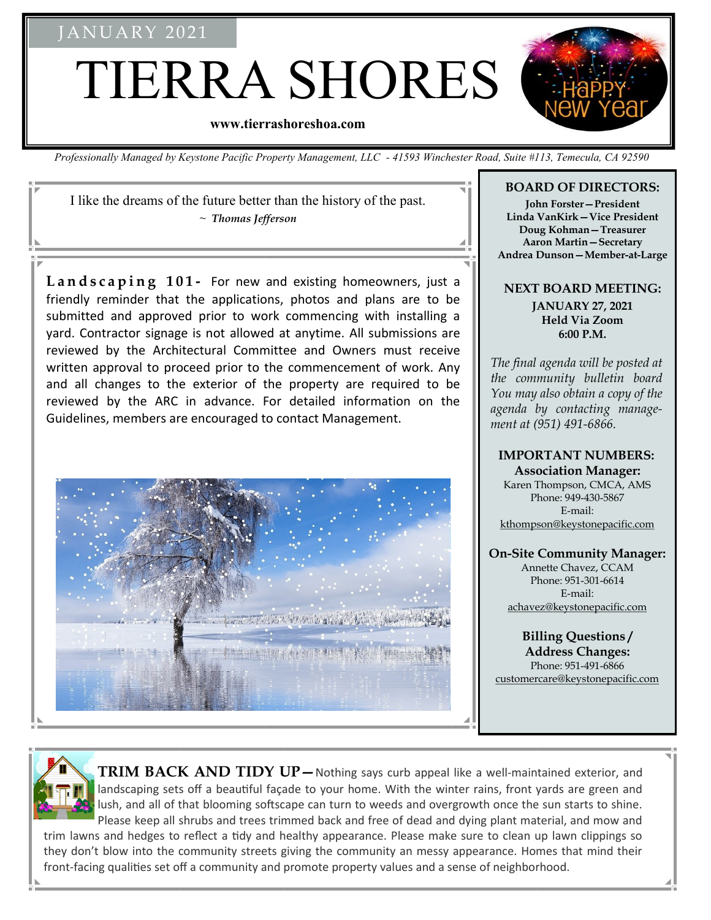## **JANUARY 2021**

TIERRA SHORES

#### **www.tierrashoreshoa.com**

*Professionally Managed by Keystone Pacific Property Management, LLC - 41593 Winchester Road, Suite #113, Temecula, CA 92590*

I like the dreams of the future better than the history of the past. ~ *Thomas Jefferson* 

Landscaping 101- For new and existing homeowners, just a friendly reminder that the applications, photos and plans are to be submitted and approved prior to work commencing with installing a yard. Contractor signage is not allowed at anytime. All submissions are reviewed by the Architectural Committee and Owners must receive written approval to proceed prior to the commencement of work. Any and all changes to the exterior of the property are required to be reviewed by the ARC in advance. For detailed information on the Guidelines, members are encouraged to contact Management.



#### **BOARD OF DIRECTORS:**

**John Forster—President Linda VanKirk—Vice President Doug Kohman—Treasurer Aaron Martin—Secretary Andrea Dunson—Member-at-Large**

#### **NEXT BOARD MEETING: JANUARY 27, 2021 Held Via Zoom 6:00 P.M.**

*The final agenda will be posted at the community bulletin board You may also obtain a copy of the agenda by contacting management at (951) 491-6866.*

# **IMPORTANT NUMBERS:**

**Association Manager:** Karen Thompson, CMCA, AMS Phone: 949-430-5867 E-mail: kthompson@keystonepacific.com

#### **On-Site Community Manager:**

Annette Chavez, CCAM Phone: 951-301-6614 E-mail: achavez@keystonepacific.com

## **Billing Questions /**

**Address Changes:**  Phone: 951-491-6866 customercare@keystonepacific.com



**TRIM BACK AND TIDY UP—**Nothing says curb appeal like a well-maintained exterior, and landscaping sets off a beautiful façade to your home. With the winter rains, front yards are green and lush, and all of that blooming softscape can turn to weeds and overgrowth once the sun starts to shine. Please keep all shrubs and trees trimmed back and free of dead and dying plant material, and mow and

trim lawns and hedges to reflect a tidy and healthy appearance. Please make sure to clean up lawn clippings so they don't blow into the community streets giving the community an messy appearance. Homes that mind their front-facing qualities set off a community and promote property values and a sense of neighborhood.